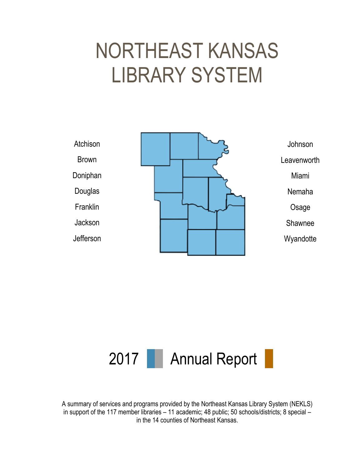# NORTHEAST KANSAS LIBRARY SYSTEM





A summary of services and programs provided by the Northeast Kansas Library System (NEKLS) in support of the 117 member libraries – 11 academic; 48 public; 50 schools/districts; 8 special – in the 14 counties of Northeast Kansas.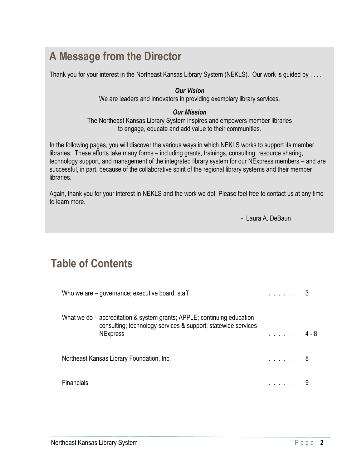# **A Message from the Director**

Thank you for your interest in the Northeast Kansas Library System (NEKLS). Our work is guided by . . . .

#### *Our Vision*

We are leaders and innovators in providing exemplary library services.

#### *Our Mission*

The Northeast Kansas Library System inspires and empowers member libraries to engage, educate and add value to their communities.

In the following pages, you will discover the various ways in which NEKLS works to support its member libraries. These efforts take many forms – including grants, trainings, consulting, resource sharing, technology support, and management of the integrated library system for our NExpress members – and are successful, in part, because of the collaborative spirit of the regional library systems and their member libraries.

Again, thank you for your interest in NEKLS and the work we do! Please feel free to contact us at any time to learn more.

- Laura A. DeBaun

# **Table of Contents**

| Who we are – governance; executive board; staff                                                                                                             |                |       |
|-------------------------------------------------------------------------------------------------------------------------------------------------------------|----------------|-------|
| What we do – accreditation & system grants; APPLE; continuing education<br>consulting; technology services & support; statewide services<br><b>NExpress</b> | and a straight | 4 - 8 |
| Northeast Kansas Library Foundation, Inc.                                                                                                                   | . 8            |       |
| <b>Financials</b>                                                                                                                                           |                |       |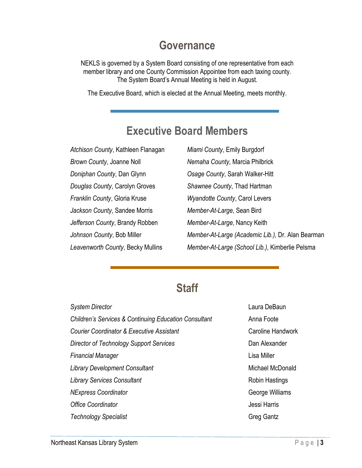### **Governance**

NEKLS is governed by a System Board consisting of one representative from each member library and one County Commission Appointee from each taxing county. The System Board's Annual Meeting is held in August.

The Executive Board, which is elected at the Annual Meeting, meets monthly.

# **Executive Board Members**

*Atchison County*, Kathleen Flanagan *Brown County*, Joanne Noll *Doniphan County*, Dan Glynn *Douglas County*, Carolyn Groves *Franklin County*, Gloria Kruse *Jackson County*, Sandee Morris *Jefferson County*, Brandy Robben *Johnson County*, Bob Miller *Leavenworth County*, Becky Mullins

*Miami County*, Emily Burgdorf *Nemaha County*, Marcia Philbrick *Osage County*, Sarah Walker-Hitt *Shawnee County*, Thad Hartman *Wyandotte County*, Carol Levers *Member-At-Large*, Sean Bird *Member-At-Large*, Nancy Keith *Member-At-Large (Academic Lib.)*, Dr. Alan Bearman *Member-At-Large (School Lib.)*, Kimberlie Pelsma

## **Staff**

| <b>System Director</b>                                           |
|------------------------------------------------------------------|
| <b>Children's Services &amp; Continuing Education Consultant</b> |
| Courier Coordinator & Executive Assistant                        |
| Director of Technology Support Services                          |
| Financial Manager                                                |
| <b>Library Development Consultant</b>                            |
| <b>Library Services Consultant</b>                               |
| <b>NExpress Coordinator</b>                                      |
| Office Coordinator                                               |
| <b>Technology Specialist</b>                                     |

Laura DeBaun Anna Foote Caroline Handwork Dan Alexander Lisa Miller Michael McDonald Robin Hastings George Williams Jessi Harris Greg Gantz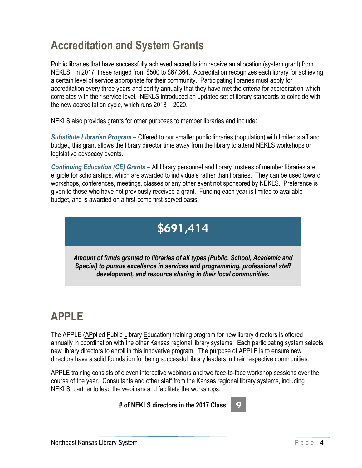# **Accreditation and System Grants**

Public libraries that have successfully achieved accreditation receive an allocation (system grant) from NEKLS. In 2017, these ranged from \$500 to \$67,364. Accreditation recognizes each library for achieving a certain level of service appropriate for their community. Participating libraries must apply for accreditation every three years and certify annually that they have met the criteria for accreditation which correlates with their service level. NEKLS introduced an updated set of library standards to coincide with the new accreditation cycle, which runs 2018 – 2020.

NEKLS also provides grants for other purposes to member libraries and include:

*Substitute Librarian Program* – Offered to our smaller public libraries (population) with limited staff and budget, this grant allows the library director time away from the library to attend NEKLS workshops or legislative advocacy events.

*Continuing Education (CE) Grants* – All library personnel and library trustees of member libraries are eligible for scholarships, which are awarded to individuals rather than libraries. They can be used toward workshops, conferences, meetings, classes or any other event not sponsored by NEKLS. Preference is given to those who have not previously received a grant. Funding each year is limited to available budget, and is awarded on a first-come first-served basis.

# **\$691,414**

*Amount of funds granted to libraries of all types (Public, School, Academic and Special) to pursue excellence in services and programming, professional staff development, and resource sharing in their local communities.*

# **APPLE**

The APPLE (APplied Public Library Education) training program for new library directors is offered annually in coordination with the other Kansas regional library systems. Each participating system selects new library directors to enroll in this innovative program. The purpose of APPLE is to ensure new directors have a solid foundation for being successful library leaders in their respective communities.

APPLE training consists of eleven interactive webinars and two face-to-face workshop sessions over the course of the year. Consultants and other staff from the Kansas regional library systems, including NEKLS, partner to lead the webinars and facilitate the workshops.

#### **# of NEKLS directors in the 2017 Class 9**

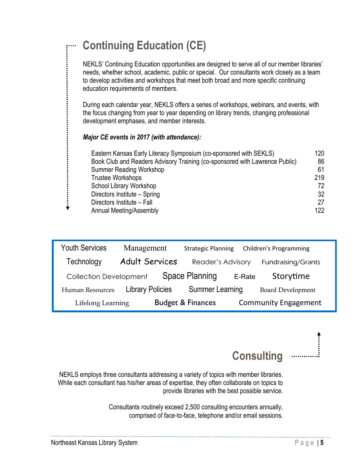| <b>Continuing Education (CE)</b>                                                                                                                                                                                                                                                                                                   |                                                 |
|------------------------------------------------------------------------------------------------------------------------------------------------------------------------------------------------------------------------------------------------------------------------------------------------------------------------------------|-------------------------------------------------|
| NEKLS' Continuing Education opportunities are designed to serve all of our member libraries'<br>needs, whether school, academic, public or special. Our consultants work closely as a team<br>to develop activities and workshops that meet both broad and more specific continuing<br>education requirements of members.          |                                                 |
| During each calendar year, NEKLS offers a series of workshops, webinars, and events, with<br>the focus changing from year to year depending on library trends, changing professional<br>development emphases, and member interests.<br>Major CE events in 2017 (with attendance):                                                  |                                                 |
| Eastern Kansas Early Literacy Symposium (co-sponsored with SEKLS)<br>Book Club and Readers Advisory Training (co-sponsored with Lawrence Public)<br><b>Summer Reading Workshop</b><br><b>Trustee Workshops</b><br>School Library Workshop<br>Directors Institute - Spring<br>Directors Institute - Fall<br>Annual Meeting/Assembly | 120<br>86<br>61<br>219<br>72<br>32<br>27<br>122 |

| <b>Youth Services</b>         | Management              | <b>Strategic Planning</b>    |        | Children's Programming      |
|-------------------------------|-------------------------|------------------------------|--------|-----------------------------|
| Technology                    | <b>Adult Services</b>   | Reader's Advisory            |        | Fundraising/Grants          |
| <b>Collection Development</b> |                         | Space Planning               | E-Rate | Storytime                   |
| <b>Human Resources</b>        | <b>Library Policies</b> | <b>Summer Learning</b>       |        | <b>Board Development</b>    |
| Lifelong Learning             |                         | <b>Budget &amp; Finances</b> |        | <b>Community Engagement</b> |

**Consulting**

NEKLS employs three consultants addressing a variety of topics with member libraries. While each consultant has his/her areas of expertise, they often collaborate on topics to provide libraries with the best possible service.

> Consultants routinely exceed 2,500 consulting encounters annually, comprised of face-to-face, telephone and/or email sessions.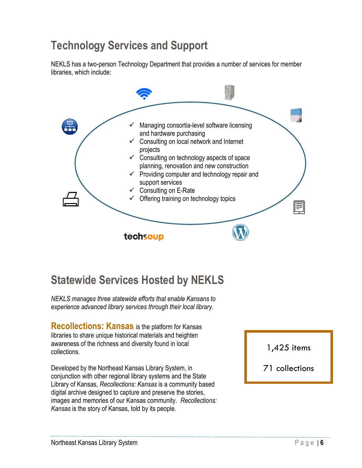# **Technology Services and Support**

NEKLS has a two-person Technology Department that provides a number of services for member libraries, which include:



# **Statewide Services Hosted by NEKLS**

*NEKLS manages three statewide efforts that enable Kansans to experience advanced library services through their local library.*

**Recollections: Kansas** is the platform for Kansas libraries to share unique historical materials and heighten awareness of the richness and diversity found in local collections.

Developed by the Northeast Kansas Library System, in conjunction with other regional library systems and the State Library of Kansas, *Recollections: Kansas* is a community based digital archive designed to capture and preserve the stories, images and memories of our Kansas community. *Recollections: Kansas* is the story of Kansas, told by its people.

1,425 items

#### 71 collections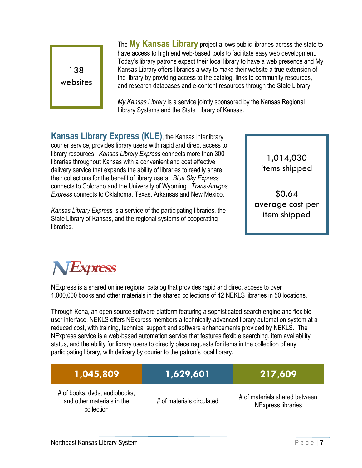

The **My Kansas Library** project allows public libraries across the state to have access to high end web-based tools to facilitate easy web development. Today's library patrons expect their local library to have a web presence and My Kansas Library offers libraries a way to make their website a true extension of the library by providing access to the catalog, links to community resources, and research databases and e-content resources through the State Library.

*My Kansas Library* is a service jointly sponsored by the [Kansas Regional](http://systems.mykansaslibrary.org/)  [Library Systems](http://systems.mykansaslibrary.org/) and the [State Library of Kansas.](http://skyways.lib.ks.us/KSL/)

**Kansas Library Express (KLE)**, the Kansas interlibrary courier service, provides library users with rapid and direct access to library resources. *Kansas Library Express* connects more than 300 libraries throughout Kansas with a convenient and cost effective delivery service that expands the ability of libraries to readily share their collections for the benefit of library users. *Blue Sky Express* connects to Colorado and the University of Wyoming. *Trans-Amigos Express* connects to Oklahoma, Texas, Arkansas and New Mexico.

*Kansas Library Express* is a service of the participating libraries, the State Library of Kansas, and the regional systems of cooperating libraries.

1,014,030 items shipped

\$0.64 average cost per item shipped



NExpress is a shared online regional catalog that provides rapid and direct access to over 1,000,000 books and other materials in the shared collections of 42 NEKLS libraries in 50 locations.

Through Koha, an open source software platform featuring a sophisticated search engine and flexible user interface, NEKLS offers NExpress members a technically-advanced library automation system at a reduced cost, with training, technical support and software enhancements provided by NEKLS. The NExpress service is a web-based automation service that features flexible searching, item availability status, and the ability for library users to directly place requests for items in the collection of any participating library, with delivery by courier to the patron's local library.

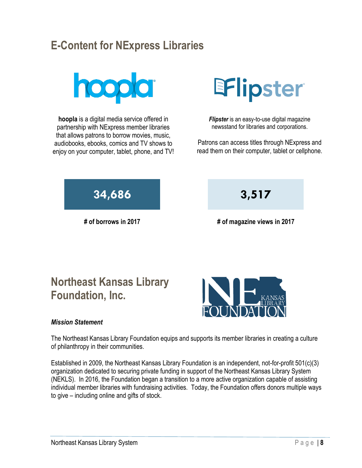# **E-Content for NExpress Libraries**



**hoopla** is a digital media service offered in partnership with NExpress member libraries that allows patrons to borrow movies, music, audiobooks, ebooks, comics and TV shows to enjoy on your computer, tablet, phone, and TV!



*Flipster* is an easy-to-use digital magazine newsstand for libraries and corporations.

Patrons can access titles through NExpress and read them on their computer, tablet or cellphone.



**# of borrows in 2017 # of magazine views in 2017**

# **Northeast Kansas Library Foundation, Inc.**

#### *Mission Statement*

The Northeast Kansas Library Foundation equips and supports its member libraries in creating a culture of philanthropy in their communities.

Established in 2009, the Northeast Kansas Library Foundation is an independent, not-for-profit 501(c)(3) organization dedicated to securing private funding in support of the Northeast Kansas Library System (NEKLS). In 2016, the Foundation began a transition to a more active organization capable of assisting individual member libraries with fundraising activities. Today, the Foundation offers donors multiple ways to give – including online and gifts of stock.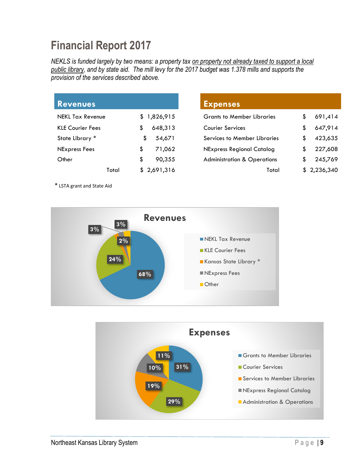# **Financial Report 2017**

*NEKLS is funded largely by two means: a property tax on property not already taxed to support a local public library, and by state aid. The mill levy for the 2017 budget was 1.378 mills and supports the provision of the services described above.*

| <b>Revenues</b>         |       |               |
|-------------------------|-------|---------------|
| <b>NEKL Tax Revenue</b> |       | \$1,826,915   |
| <b>KLE Courier Fees</b> |       | \$<br>648,313 |
| State Library *         |       | \$<br>54,671  |
| NExpress Fees           |       | \$<br>71,062  |
| Other                   |       | \$<br>90.355  |
|                         | Total | \$2,691,316   |

#### **Expenses**

| <b>Grants to Member Libraries</b>      |    | 691,414     |
|----------------------------------------|----|-------------|
| <b>Courier Services</b>                | S  | 647,914     |
| <b>Services to Member Libraries</b>    | S. | 423,635     |
| <b>NExpress Regional Catalog</b>       | S. | 227,608     |
| <b>Administration &amp; Operations</b> | S. | 245,769     |
| Total                                  |    | \$2,236,340 |

\* LSTA grant and State Aid